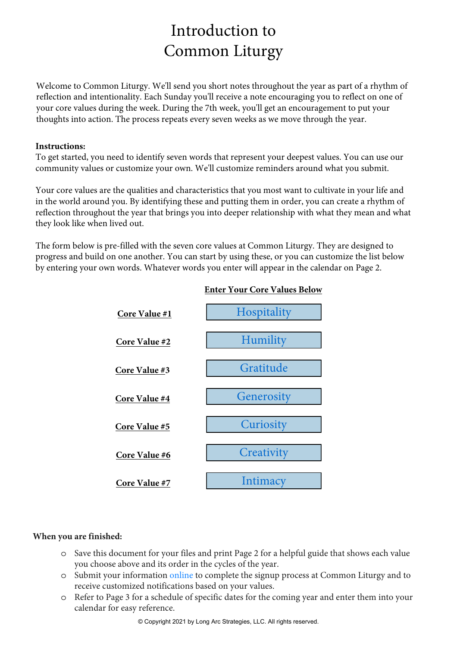### Introduction to Common Liturgy

Welcome to Common Liturgy. We'll send you short notes throughout the year as part of a rhythm of reflection and intentionality. Each Sunday you'll receive a note encouraging you to reflect on one of your core values during the week. During the 7th week, you'll get an encouragement to put your thoughts into action. The process repeats every seven weeks as we move through the year.

#### **Instructions:**

To get started, you need to identify seven words that represent your deepest values. You can use our community values or customize your own. We'll customize reminders around what you submit.

Your core values are the qualities and characteristics that you most want to cultivate in your life and in the world around you. By identifying these and putting them in order, you can create a rhythm of reflection throughout the year that brings you into deeper relationship with what they mean and what they look like when lived out.

The form below is pre-filled with the seven core values at Common Liturgy. They are designed to progress and build on one another. You can start by using these, or you can customize the list below by entering your own words. Whatever words you enter will appear in the calendar on Page 2.



### **Enter Your Core Values Below**

#### **When you are finished:**

- o Save this document for your files and print Page 2 for a helpful guide that shows each value you choose above and its order in the cycles of the year.
- o Submit your information [online](https://longarcstrategies.com/common-liturgy) to complete the signup process at Common Liturgy and to receive customized notifications based on your values.
- o Refer to Page 3 for a schedule of specific dates for the coming year and enter them into your calendar for easy reference.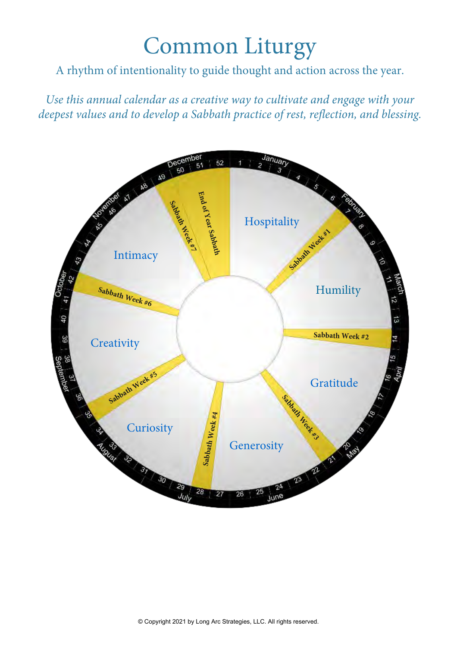# Common Liturgy

A rhythm of intentionality to guide thought and action across the year.

*Use this annual calendar as a creative way to cultivate and engage with your deepest values and to develop a Sabbath practice of rest, reflection, and blessing.*